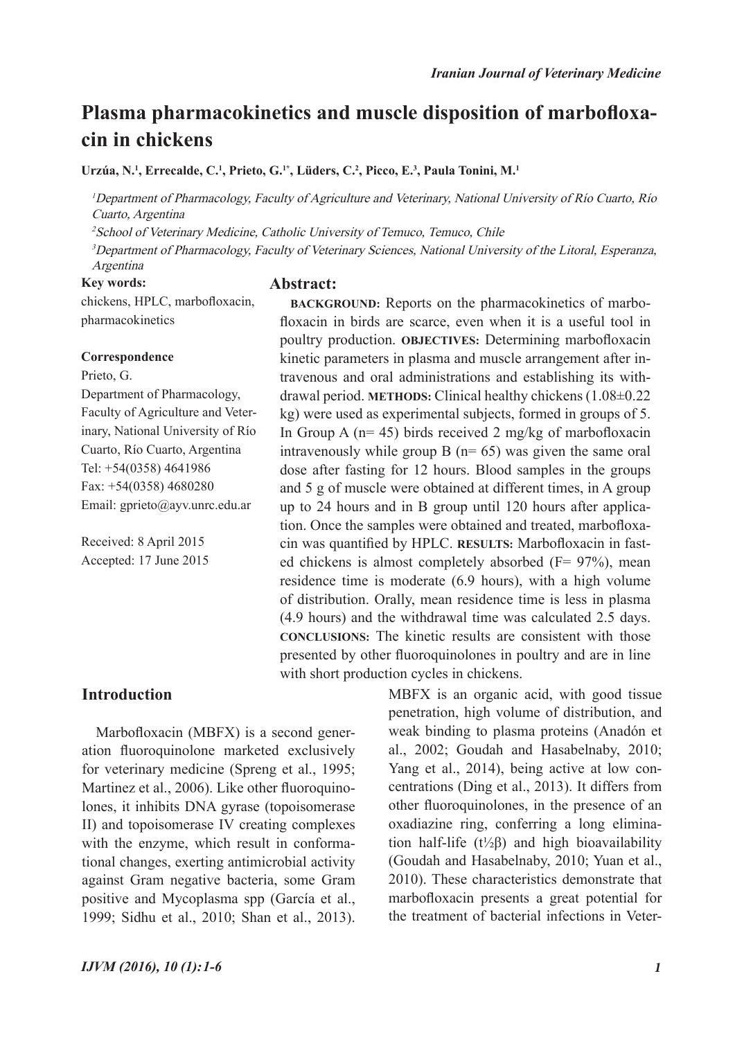# **Plasma pharmacokinetics and muscle disposition of marbofloxacin in chickens**

Urzúa, N.<sup>1</sup>, Errecalde, C.<sup>1</sup>, Prieto, G.<sup>1\*</sup>, Lüders, C.<sup>2</sup>, Picco, E.<sup>3</sup>, Paula Tonini, M.<sup>1</sup>

<sup>1</sup>Department of Pharmacology, Faculty of Agriculture and Veterinary, National University of Río Cuarto, Río Cuarto, Argentina

<sup>2</sup>School of Veterinary Medicine, Catholic University of Temuco, Temuco, Chile

<sup>3</sup>Department of Pharmacology, Faculty of Veterinary Sciences, National University of the Litoral, Esperanza, Argentina

#### **Key words:**

#### **Abstract:**

chickens, HPLC, marbofloxacin, pharmacokinetics

#### **Correspondence**

Prieto, G. Department of Pharmacology, Faculty of Agriculture and Veterinary, National University of Río Cuarto, Río Cuarto, Argentina Tel: +54(0358) 4641986 Fax: +54(0358) 4680280 Email: gprieto@ayv.unrc.edu.ar

Received: 8 April 2015 Accepted: 17 June 2015

**BACKGROUND:** Reports on the pharmacokinetics of marbofloxacin in birds are scarce, even when it is a useful tool in poultry production. **OBJECTIVES:** Determining marbofloxacin kinetic parameters in plasma and muscle arrangement after intravenous and oral administrations and establishing its withdrawal period. **METHODS:** Clinical healthy chickens (1.08±0.22 kg) were used as experimental subjects, formed in groups of 5. In Group A ( $n= 45$ ) birds received 2 mg/kg of marbofloxacin intravenously while group B  $(n= 65)$  was given the same oral dose after fasting for 12 hours. Blood samples in the groups and 5 g of muscle were obtained at different times, in A group up to 24 hours and in B group until 120 hours after application. Once the samples were obtained and treated, marbofloxacin was quantified by HPLC. **RESULTS:** Marbofloxacin in fasted chickens is almost completely absorbed (F= 97%), mean residence time is moderate (6.9 hours), with a high volume of distribution. Orally, mean residence time is less in plasma (4.9 hours) and the withdrawal time was calculated 2.5 days. **CONCLUSIONS:** The kinetic results are consistent with those presented by other fluoroquinolones in poultry and are in line with short production cycles in chickens.

## **Introduction**

Marbofloxacin (MBFX) is a second generation fluoroquinolone marketed exclusively for veterinary medicine (Spreng et al., 1995; Martinez et al., 2006). Like other fluoroquinolones, it inhibits DNA gyrase (topoisomerase II) and topoisomerase IV creating complexes with the enzyme, which result in conformational changes, exerting antimicrobial activity against Gram negative bacteria, some Gram positive and Mycoplasma spp (García et al., 1999; Sidhu et al., 2010; Shan et al., 2013).

al., 2002; Goudah and Hasabelnaby, 2010; Yang et al., 2014), being active at low concentrations (Ding et al., 2013). It differs from other fluoroquinolones, in the presence of an oxadiazine ring, conferring a long elimination half-life ( $t\frac{1}{2}\beta$ ) and high bioavailability (Goudah and Hasabelnaby, 2010; Yuan et al., 2010). These characteristics demonstrate that marbofloxacin presents a great potential for the treatment of bacterial infections in Veter-

MBFX is an organic acid, with good tissue penetration, high volume of distribution, and weak binding to plasma proteins (Anadón et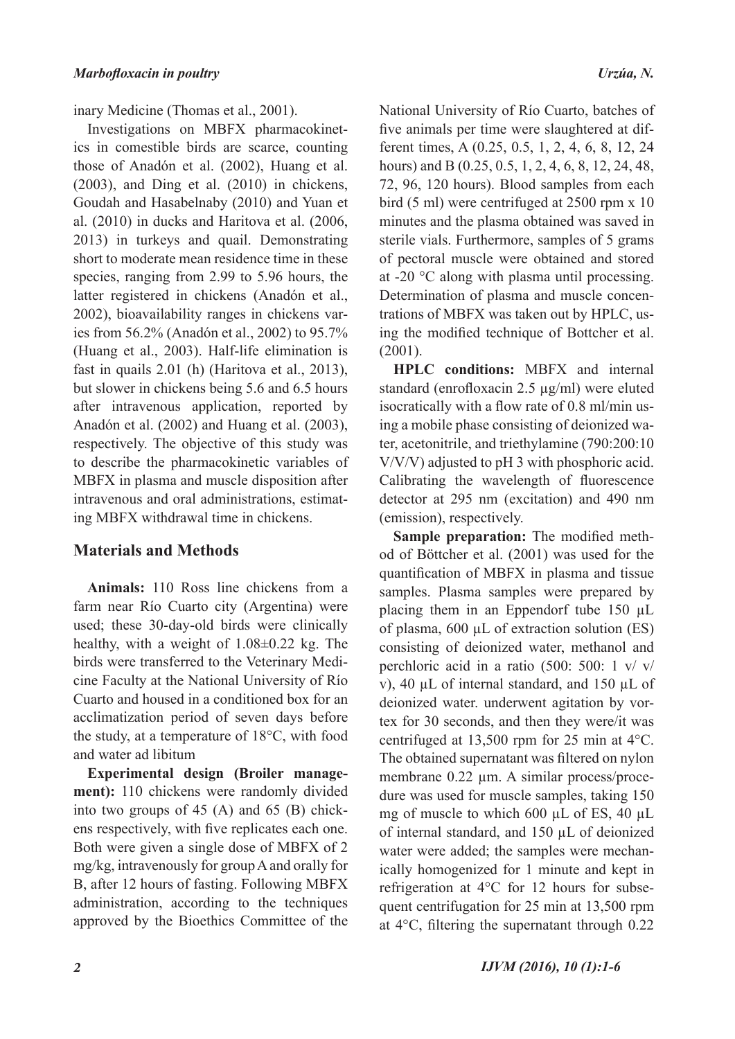inary Medicine (Thomas et al., 2001).

Investigations on MBFX pharmacokinetics in comestible birds are scarce, counting those of Anadón et al. (2002), Huang et al. (2003), and Ding et al. (2010) in chickens, Goudah and Hasabelnaby (2010) and Yuan et al. (2010) in ducks and Haritova et al. (2006, 2013) in turkeys and quail. Demonstrating short to moderate mean residence time in these species, ranging from 2.99 to 5.96 hours, the latter registered in chickens (Anadón et al., 2002), bioavailability ranges in chickens varies from 56.2% (Anadón et al., 2002) to 95.7% (Huang et al., 2003). Half-life elimination is fast in quails 2.01 (h) (Haritova et al., 2013), but slower in chickens being 5.6 and 6.5 hours after intravenous application, reported by Anadón et al. (2002) and Huang et al. (2003), respectively. The objective of this study was to describe the pharmacokinetic variables of MBFX in plasma and muscle disposition after intravenous and oral administrations, estimating MBFX withdrawal time in chickens.

## **Materials and Methods**

**Animals:** 110 Ross line chickens from a farm near Río Cuarto city (Argentina) were used; these 30-day-old birds were clinically healthy, with a weight of 1.08±0.22 kg. The birds were transferred to the Veterinary Medicine Faculty at the National University of Río Cuarto and housed in a conditioned box for an acclimatization period of seven days before the study, at a temperature of 18°C, with food and water ad libitum

**Experimental design (Broiler management):** 110 chickens were randomly divided into two groups of 45 (A) and 65 (B) chickens respectively, with five replicates each one. Both were given a single dose of MBFX of 2 mg/kg, intravenously for group A and orally for B, after 12 hours of fasting. Following MBFX administration, according to the techniques approved by the Bioethics Committee of the

National University of Río Cuarto, batches of five animals per time were slaughtered at different times, A (0.25, 0.5, 1, 2, 4, 6, 8, 12, 24 hours) and B (0.25, 0.5, 1, 2, 4, 6, 8, 12, 24, 48, 72, 96, 120 hours). Blood samples from each bird (5 ml) were centrifuged at 2500 rpm x 10 minutes and the plasma obtained was saved in sterile vials. Furthermore, samples of 5 grams of pectoral muscle were obtained and stored at -20 °C along with plasma until processing. Determination of plasma and muscle concentrations of MBFX was taken out by HPLC, using the modified technique of Bottcher et al. (2001).

**HPLC conditions:** MBFX and internal standard (enrofloxacin 2.5 µg/ml) were eluted isocratically with a flow rate of 0.8 ml/min using a mobile phase consisting of deionized water, acetonitrile, and triethylamine (790:200:10 V/V/V) adjusted to pH 3 with phosphoric acid. Calibrating the wavelength of fluorescence detector at 295 nm (excitation) and 490 nm (emission), respectively.

**Sample preparation:** The modified method of Böttcher et al. (2001) was used for the quantification of MBFX in plasma and tissue samples. Plasma samples were prepared by placing them in an Eppendorf tube 150 µL of plasma, 600 µL of extraction solution (ES) consisting of deionized water, methanol and perchloric acid in a ratio (500: 500: 1 v/ v/ v), 40 µL of internal standard, and 150 µL of deionized water. underwent agitation by vortex for 30 seconds, and then they were/it was centrifuged at 13,500 rpm for 25 min at 4°C. The obtained supernatant was filtered on nylon membrane 0.22  $\mu$ m. A similar process/procedure was used for muscle samples, taking 150 mg of muscle to which 600 µL of ES, 40 µL of internal standard, and 150 µL of deionized water were added; the samples were mechanically homogenized for 1 minute and kept in refrigeration at 4°C for 12 hours for subsequent centrifugation for 25 min at 13,500 rpm at 4°C, filtering the supernatant through 0.22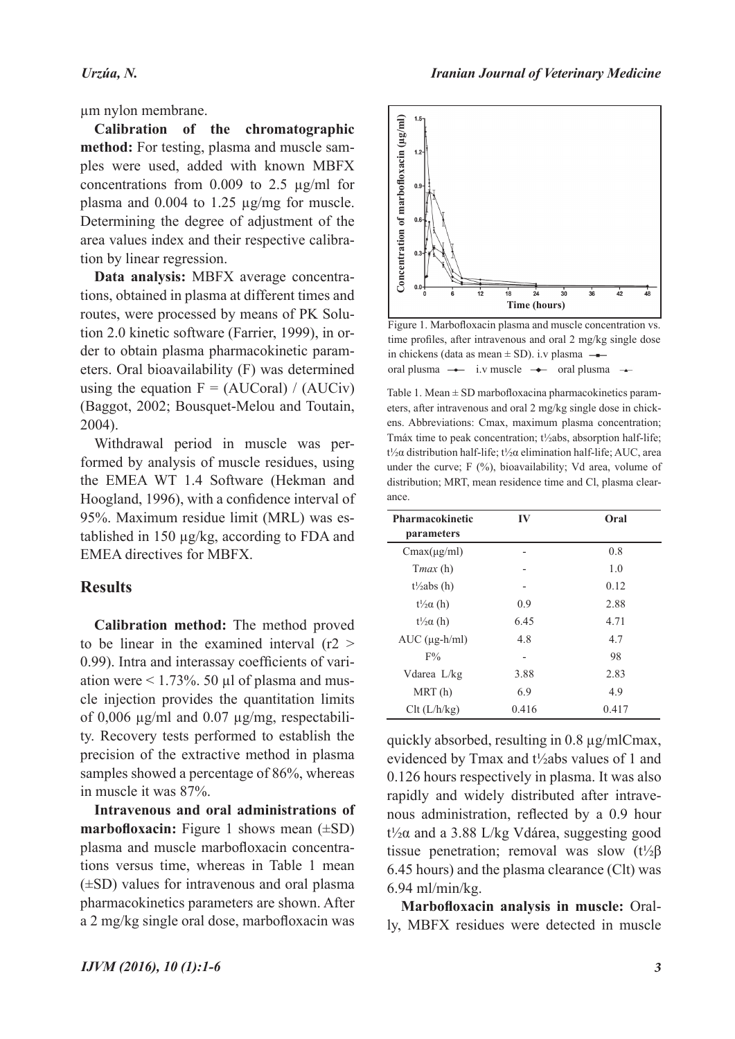µm nylon membrane.

**Calibration of the chromatographic method:** For testing, plasma and muscle samples were used, added with known MBFX concentrations from  $0.009$  to  $2.5 \mu g/ml$  for plasma and 0.004 to 1.25 µg/mg for muscle. Determining the degree of adjustment of the area values index and their respective calibration by linear regression.

**Data analysis:** MBFX average concentrations, obtained in plasma at different times and routes, were processed by means of PK Solution 2.0 kinetic software (Farrier, 1999), in order to obtain plasma pharmacokinetic parameters. Oral bioavailability (F) was determined using the equation  $F = (AUCoral) / (AUCiv)$ (Baggot, 2002; Bousquet-Melou and Toutain, 2004).

Withdrawal period in muscle was performed by analysis of muscle residues, using the EMEA WT 1.4 Software (Hekman and Hoogland, 1996), with a confidence interval of 95%. Maximum residue limit (MRL) was established in 150 µg/kg, according to FDA and EMEA directives for MBFX.

#### **Results**

**Calibration method:** The method proved to be linear in the examined interval  $(r2 >$ 0.99). Intra and interassay coefficients of variation were  $\leq 1.73\%$ . 50 µl of plasma and muscle injection provides the quantitation limits of 0,006  $\mu$ g/ml and 0.07  $\mu$ g/mg, respectability. Recovery tests performed to establish the precision of the extractive method in plasma samples showed a percentage of 86%, whereas in muscle it was 87%.

**Intravenous and oral administrations of marbofloxacin:** Figure 1 shows mean  $(\pm SD)$ plasma and muscle marbofloxacin concentrations versus time, whereas in Table 1 mean (±SD) values for intravenous and oral plasma pharmacokinetics parameters are shown. After a 2 mg/kg single oral dose, marbofloxacin was





Figure 1. Marbofloxacin plasma and muscle concentration vs. time profiles, after intravenous and oral 2 mg/kg single dose in chickens (data as mean  $\pm$  SD). i.v plasma  $\rightarrow$ oral plusma  $\rightarrow$  i.v muscle  $\rightarrow$  oral plusma  $\rightarrow$ 

Table 1. Mean  $\pm$  SD marbofloxacina pharmacokinetics parameters, after intravenous and oral 2 mg/kg single dose in chickens. Abbreviations: Cmax, maximum plasma concentration; Tmáx time to peak concentration; t½abs, absorption half-life; t½α distribution half-life; t½α elimination half-life; AUC, area under the curve;  $F(%)$ , bioavailability; Vd area, volume of distribution; MRT, mean residence time and Cl, plasma clearance.

| <b>Pharmacokinetic</b> | IV    | Oral  |
|------------------------|-------|-------|
| parameters             |       |       |
| $Cmax(\mu g/ml)$       |       | 0.8   |
| Tmax(h)                |       | 1.0   |
| $t\frac{1}{2}abs(h)$   |       | 0.12  |
| $t\frac{1}{2}a(h)$     | 0.9   | 2.88  |
| $t\frac{1}{2}a(h)$     | 6.45  | 4.71  |
| $AUC$ ( $\mu$ g-h/ml)  | 4.8   | 4.7   |
| F%                     |       | 98    |
| Vdarea L/kg            | 3.88  | 2.83  |
| MRT(h)                 | 6.9   | 4.9   |
| Clt (L/h/kg)           | 0.416 | 0.417 |

quickly absorbed, resulting in 0.8 µg/mlCmax, evidenced by Tmax and t½abs values of 1 and 0.126 hours respectively in plasma. It was also rapidly and widely distributed after intravenous administration, reflected by a 0.9 hour t½α and a 3.88 L/kg Vdárea, suggesting good tissue penetration; removal was slow (t<sup>1</sup>/<sub>2</sub>β) 6.45 hours) and the plasma clearance (Clt) was 6.94 ml/min/kg.

**Marbofloxacin analysis in muscle:** Orally, MBFX residues were detected in muscle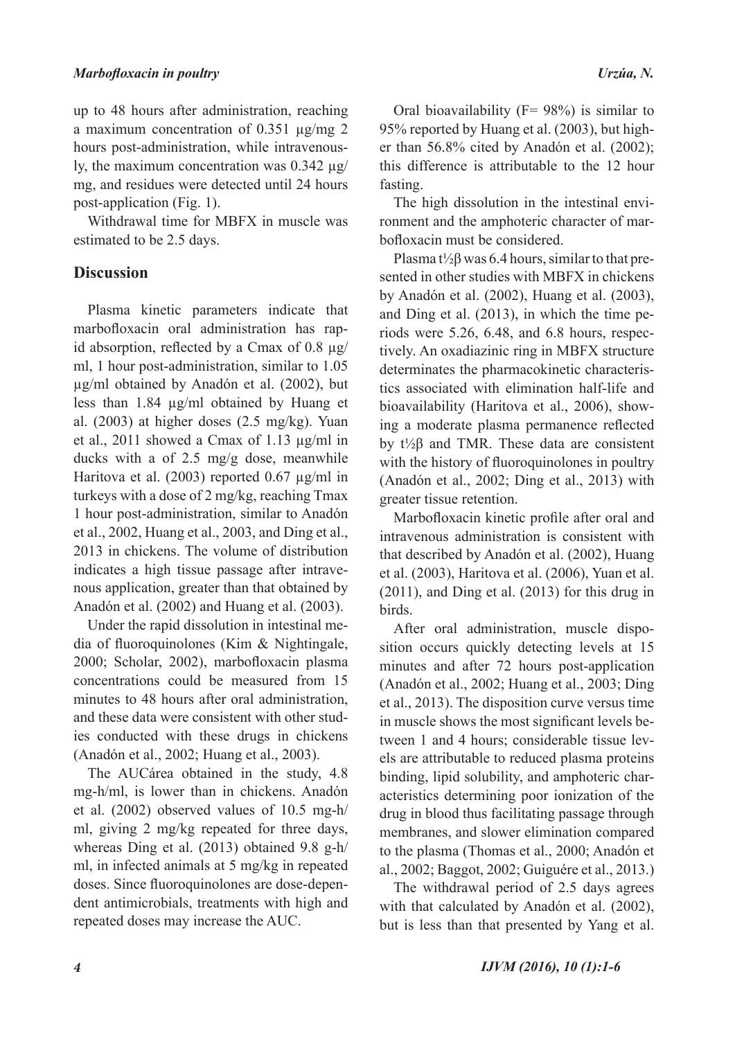up to 48 hours after administration, reaching a maximum concentration of 0.351 µg/mg 2 hours post-administration, while intravenously, the maximum concentration was 0.342 µg/ mg, and residues were detected until 24 hours post-application (Fig. 1).

Withdrawal time for MBFX in muscle was estimated to be 2.5 days.

## **Discussion**

Plasma kinetic parameters indicate that marbofloxacin oral administration has rapid absorption, reflected by a Cmax of  $0.8 \mu g$ / ml, 1 hour post-administration, similar to 1.05 µg/ml obtained by Anadón et al. (2002), but less than 1.84 µg/ml obtained by Huang et al. (2003) at higher doses (2.5 mg/kg). Yuan et al., 2011 showed a Cmax of 1.13 µg/ml in ducks with a of 2.5 mg/g dose, meanwhile Haritova et al. (2003) reported 0.67 µg/ml in turkeys with a dose of 2 mg/kg, reaching Tmax 1 hour post-administration, similar to Anadón et al., 2002, Huang et al., 2003, and Ding et al., 2013 in chickens. The volume of distribution indicates a high tissue passage after intravenous application, greater than that obtained by Anadón et al. (2002) and Huang et al. (2003).

Under the rapid dissolution in intestinal media of fluoroquinolones (Kim & Nightingale, 2000; Scholar, 2002), marbofloxacin plasma concentrations could be measured from 15 minutes to 48 hours after oral administration, and these data were consistent with other studies conducted with these drugs in chickens (Anadón et al., 2002; Huang et al., 2003).

The AUCárea obtained in the study, 4.8 mg-h/ml, is lower than in chickens. Anadón et al. (2002) observed values of 10.5 mg-h/ ml, giving 2 mg/kg repeated for three days, whereas Ding et al. (2013) obtained 9.8 g-h/ ml, in infected animals at 5 mg/kg in repeated doses. Since fluoroquinolones are dose-dependent antimicrobials, treatments with high and repeated doses may increase the AUC.

Oral bioavailability ( $F = 98\%$ ) is similar to 95% reported by Huang et al. (2003), but higher than 56.8% cited by Anadón et al. (2002); this difference is attributable to the 12 hour fasting.

The high dissolution in the intestinal environment and the amphoteric character of marbofloxacin must be considered.

Plasma t<sup> $1/2\beta$ </sup> was 6.4 hours, similar to that presented in other studies with MBFX in chickens by Anadón et al. (2002), Huang et al. (2003), and Ding et al. (2013), in which the time periods were 5.26, 6.48, and 6.8 hours, respectively. An oxadiazinic ring in MBFX structure determinates the pharmacokinetic characteristics associated with elimination half-life and bioavailability (Haritova et al., 2006), showing a moderate plasma permanence reflected by t½β and TMR. These data are consistent with the history of fluoroquinolones in poultry (Anadón et al., 2002; Ding et al., 2013) with greater tissue retention.

Marbofloxacin kinetic profile after oral and intravenous administration is consistent with that described by Anadón et al. (2002), Huang et al. (2003), Haritova et al. (2006), Yuan et al. (2011), and Ding et al. (2013) for this drug in birds.

After oral administration, muscle disposition occurs quickly detecting levels at 15 minutes and after 72 hours post-application (Anadón et al., 2002; Huang et al., 2003; Ding et al., 2013). The disposition curve versus time in muscle shows the most significant levels between 1 and 4 hours; considerable tissue levels are attributable to reduced plasma proteins binding, lipid solubility, and amphoteric characteristics determining poor ionization of the drug in blood thus facilitating passage through membranes, and slower elimination compared to the plasma (Thomas et al., 2000; Anadón et al., 2002; Baggot, 2002; Guiguére et al., 2013.)

The withdrawal period of 2.5 days agrees with that calculated by Anadón et al. (2002), but is less than that presented by Yang et al.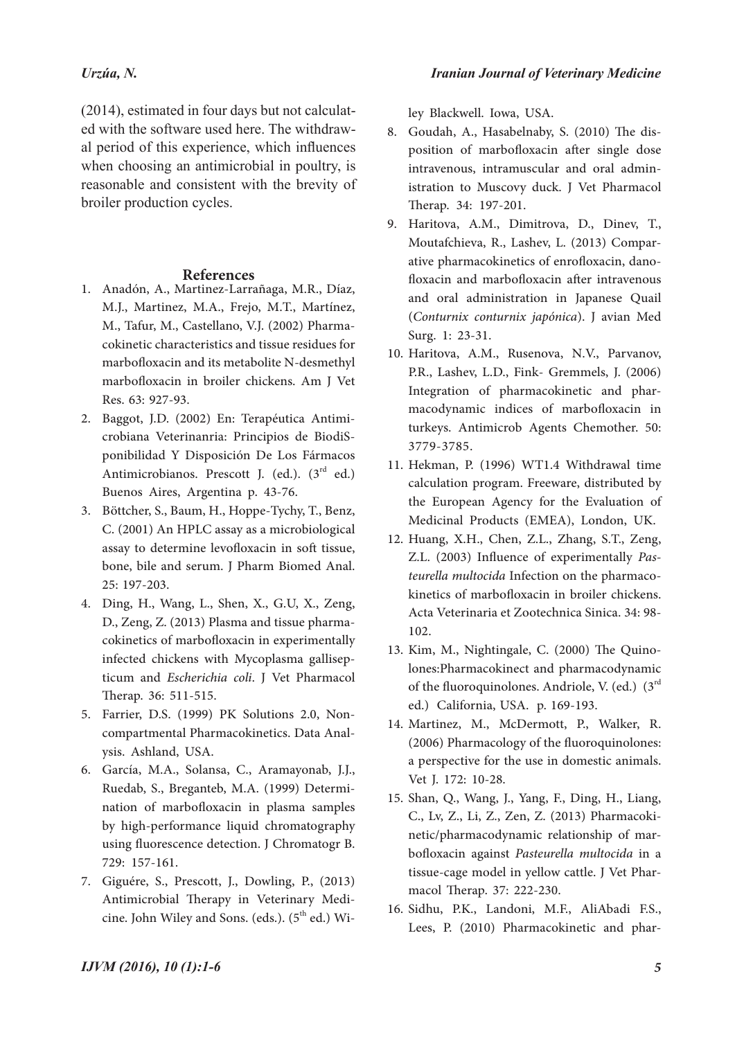### *Urzúa, N.*

(2014), estimated in four days but not calculated with the software used here. The withdrawal period of this experience, which influences when choosing an antimicrobial in poultry, is reasonable and consistent with the brevity of broiler production cycles.

### **References**

- Anadón, A., Martinez-Larrañaga, M.R., Díaz, 1. M.J., Martinez, M.A., Frejo, M.T., Martínez, M., Tafur, M., Castellano, V.J. (2002) Pharmacokinetic characteristics and tissue residues for marbofloxacin and its metabolite N-desmethyl marbofloxacin in broiler chickens. Am J Vet Res. 63: 927-93.
- Baggot, J.D. (2002) En: Terapéutica Antimi-2. crobiana Veterinanria: Principios de BiodiS- ponibilidad Y Disposición De Los Fármacos Antimicrobianos. Prescott J. (ed.).  $(3<sup>rd</sup> ed.)$ Buenos Aires, Argentina p. 43-76.
- Böttcher, S., Baum, H., Hoppe-Tychy, T., Benz, 3. C. (2001) An HPLC assay as a microbiological assay to determine levofloxacin in soft tissue, bone, bile and serum. J Pharm Biomed Anal. 25: 197-203.
- Ding, H., Wang, L., Shen, X., G.U, X., Zeng, 4. D., Zeng, Z. (2013) Plasma and tissue pharma- cokinetics of marbofloxacin in experimentally infected chickens with Mycoplasma gallisep- ticum and *Escherichia coli*. J Vet Pharmacol Therap. 36: 511-515.
- Farrier, D.S. (1999) PK Solutions 2.0, Non-5. compartmental Pharmacokinetics. Data Analysis. Ashland, USA.
- García, M.A., Solansa, C., Aramayonab, J.J., 6. Ruedab, S., Breganteb, M.A. (1999) Determination of marbofloxacin in plasma samples by high-performance liquid chromatography using fluorescence detection. J Chromatogr B. 729: 157-161.
- Giguére, S., Prescott, J., Dowling, P., (2013) 7. Antimicrobial Therapy in Veterinary Medicine. John Wiley and Sons. (eds.).  $(5<sup>th</sup>$  ed.) Wi-

ley Blackwell. Iowa, USA.

- position of marbofloxacin after single dose intravenous, intramuscular and oral admin- istration to Muscovy duck. J Vet Pharmacol Therap. 34: 197-201. 8. Goudah, A., Hasabelnaby, S. (2010) The dis-
- Haritova, A.M., Dimitrova, D., Dinev, T., 9. Moutafchieva, R., Lashev, L. (2013) Comparative pharmacokinetics of enrofloxacin, dano-<br>floxacin and marbofloxacin after intravenous and oral administration in Japanese Quail (*Conturnix conturnix japónica*). J avian Med Surg. 1: 23-31.
- 10. Haritova, A.M., Rusenova, N.V., Parvanov, P.R., Lashev, L.D., Fink- Gremmels, J. (2006) Integration of pharmacokinetic and phar- macodynamic indices of marbofloxacin in turkeys. Antimicrob Agents Chemother. 50: 3779-3785.
- 11. Hekman, P. (1996) WT1.4 Withdrawal time calculation program. Freeware, distributed by the European Agency for the Evaluation of Medicinal Products (EMEA), London, UK.
- 12. Huang, X.H., Chen, Z.L., Zhang, S.T., Zeng, Z.L. (2003) Influence of experimentally *Pasteurella multocida* Infection on the pharmaco-<br>kinetics of marbofloxacin in broiler chickens. Acta Veterinaria et Zootechnica Sinica. 34: 98- 102.
- lones: Pharmacokinect and pharmacodynamic of the fluoroquinolones. Andriole, V. (ed.)  $(3^{rd}$ ed.) California, USA. p. 169-193. 13. Kim, M., Nightingale, C. (2000) The Quino-
- 14. Martinez, M., McDermott, P., Walker, R. (2006) Pharmacology of the fluoroquinolones: a perspective for the use in domestic animals. Vet J. 172: 10-28.
- 15. Shan, Q., Wang, J., Yang, F., Ding, H., Liang, C., Lv, Z., Li, Z., Zen, Z. (2013) Pharmacokinetic/pharmacodynamic relationship of marbofloxacin against *Pasteurella multocida* in a tissue-cage model in yellow cattle. J Vet Phar- macol Therap. 37: 222-230.
- 16. Sidhu, P.K., Landoni, M.F., AliAbadi F.S., Lees, P. (2010) Pharmacokinetic and phar-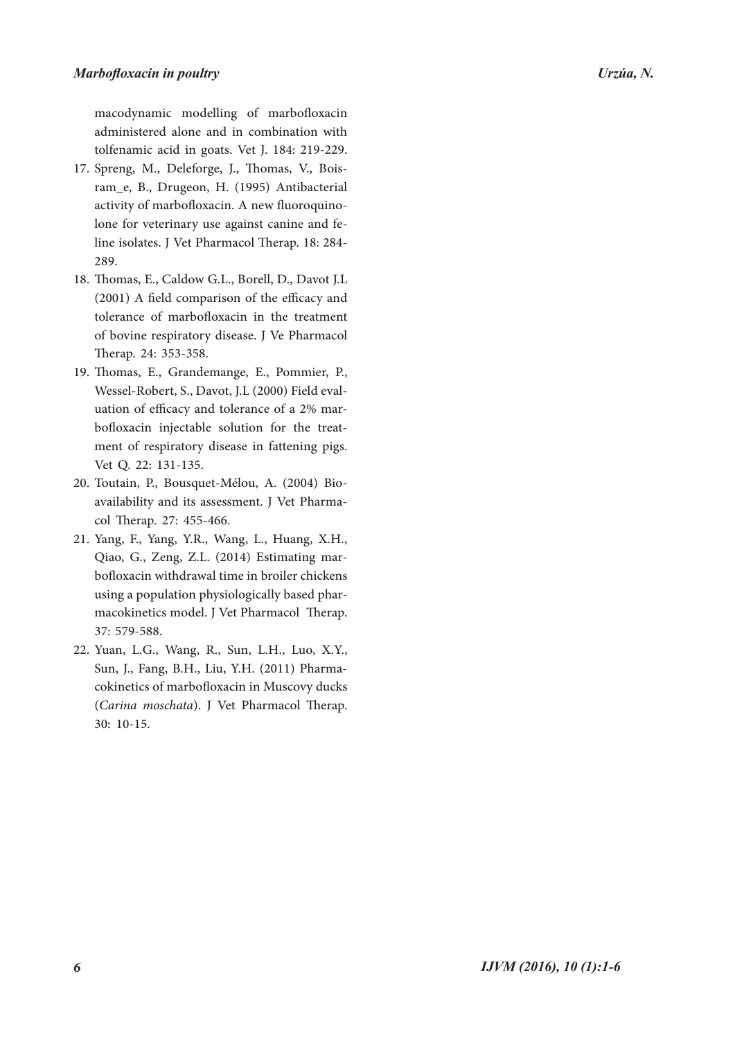macodynamic modelling of marbofloxacin administered alone and in combination with tolfenamic acid in goats. Vet J. 184: 219-229.

- 17. Spreng, M., Deleforge, J., Thomas, V., Bois-<br>ram\_e, B., Drugeon, H. (1995) Antibacterial activity of marbofloxacin. A new fluoroquino- lone for veterinary use against canine and fe- line isolates. J Vet Pharmacol Therap. 18: 284- 289.
- 18. Thomas, E., Caldow G.L., Borell, D., Davot J.L (2001) A field comparison of the efficacy and tolerance of marbofloxacin in the treatment of bovine respiratory disease. J Ve Pharmacol Therap. 24: 353-358.
- Thomas, E., Grandemange, E., Pommier, P., 19. Wessel-Robert, S., Davot, J.L (2000) Field evaluation of efficacy and tolerance of a 2% marbofloxacin injectable solution for the treat-<br>ment of respiratory disease in fattening pigs. Vet Q. 22: 131-135.
- 20. Toutain, P., Bousquet-Mélou, A. (2004) Bio-<br>availability and its assessment. J Vet Pharma-<br>col Therap. 27: 455-466.
- 21. Yang, F., Yang, Y.R., Wang, L., Huang, X.H., Qiao, G., Zeng, Z.L. (2014) Estimating mar- bofloxacin withdrawal time in broiler chickens using a population physiologically based phar- macokinetics model. J Vet Pharmacol Therap. 37: 579-588.
- 22. Yuan, L.G., Wang, R., Sun, L.H., Luo, X.Y., Sun, J., Fang, B.H., Liu, Y.H. (2011) Pharma- cokinetics of marbofloxacin in Muscovy ducks (*Carina moschata*). J Vet Pharmacol Therap. 30: 10-15.